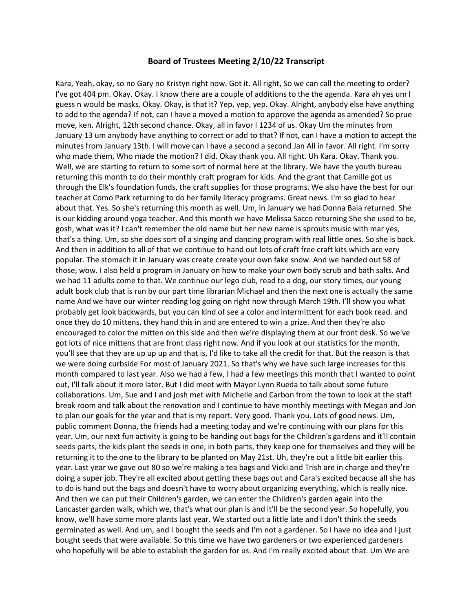## **Board of Trustees Meeting 2/10/22 Transcript**

Kara, Yeah, okay, so no Gary no Kristyn right now. Got it. All right, So we can call the meeting to order? I've got 404 pm. Okay. Okay. I know there are a couple of additions to the the agenda. Kara ah yes um I guess n would be masks. Okay. Okay, is that it? Yep, yep, yep. Okay. Alright, anybody else have anything to add to the agenda? If not, can I have a moved a motion to approve the agenda as amended? So prue move, ken. Alright, 12th second chance. Okay, all in favor I 1234 of us. Okay Um the minutes from January 13 um anybody have anything to correct or add to that? If not, can I have a motion to accept the minutes from January 13th. I will move can I have a second a second Jan All in favor. All right. I'm sorry who made them, Who made the motion? I did. Okay thank you. All right. Uh Kara. Okay. Thank you. Well, we are starting to return to some sort of normal here at the library. We have the youth bureau returning this month to do their monthly craft program for kids. And the grant that Camille got us through the Elk's foundation funds, the craft supplies for those programs. We also have the best for our teacher at Como Park returning to do her family literacy programs. Great news. I'm so glad to hear about that. Yes. So she's returning this month as well. Um, in January we had Donna Baia returned. She is our kidding around yoga teacher. And this month we have Melissa Sacco returning She she used to be, gosh, what was it? I can't remember the old name but her new name is sprouts music with mar yes, that's a thing. Um, so she does sort of a singing and dancing program with real little ones. So she is back. And then in addition to all of that we continue to hand out lots of craft free craft kits which are very popular. The stomach it in January was create create your own fake snow. And we handed out 58 of those, wow. I also held a program in January on how to make your own body scrub and bath salts. And we had 11 adults come to that. We continue our lego club, read to a dog, our story times, our young adult book club that is run by our part time librarian Michael and then the next one is actually the same name And we have our winter reading log going on right now through March 19th. I'll show you what probably get look backwards, but you can kind of see a color and intermittent for each book read. and once they do 10 mittens, they hand this in and are entered to win a prize. And then they're also encouraged to color the mitten on this side and then we're displaying them at our front desk. So we've got lots of nice mittens that are front class right now. And if you look at our statistics for the month, you'll see that they are up up up and that is, I'd like to take all the credit for that. But the reason is that we were doing curbside For most of January 2021. So that's why we have such large increases for this month compared to last year. Also we had a few, I had a few meetings this month that I wanted to point out, I'll talk about it more later. But I did meet with Mayor Lynn Rueda to talk about some future collaborations. Um, Sue and I and josh met with Michelle and Carbon from the town to look at the staff break room and talk about the renovation and I continue to have monthly meetings with Megan and Jon to plan our goals for the year and that is my report. Very good. Thank you. Lots of good news. Um, public comment Donna, the friends had a meeting today and we're continuing with our plans for this year. Um, our next fun activity is going to be handing out bags for the Children's gardens and it'll contain seeds parts, the kids plant the seeds in one, in both parts, they keep one for themselves and they will be returning it to the one to the library to be planted on May 21st. Uh, they're out a little bit earlier this year. Last year we gave out 80 so we're making a tea bags and Vicki and Trish are in charge and they're doing a super job. They're all excited about getting these bags out and Cara's excited because all she has to do is hand out the bags and doesn't have to worry about organizing everything, which is really nice. And then we can put their Children's garden, we can enter the Children's garden again into the Lancaster garden walk, which we, that's what our plan is and it'll be the second year. So hopefully, you know, we'll have some more plants last year. We started out a little late and I don't think the seeds germinated as well. And um, and I bought the seeds and I'm not a gardener. So I have no idea and I just bought seeds that were available. So this time we have two gardeners or two experienced gardeners who hopefully will be able to establish the garden for us. And I'm really excited about that. Um We are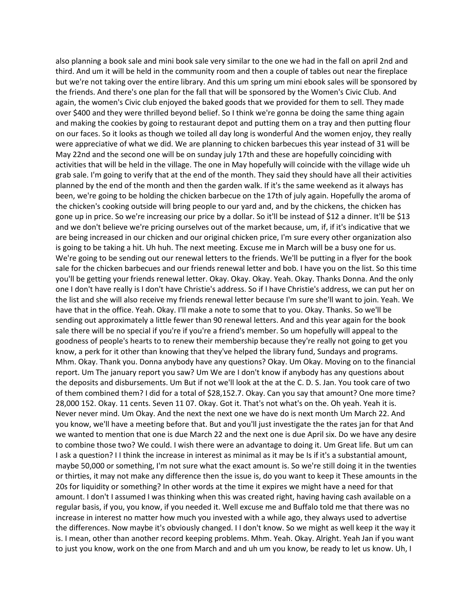also planning a book sale and mini book sale very similar to the one we had in the fall on april 2nd and third. And um it will be held in the community room and then a couple of tables out near the fireplace but we're not taking over the entire library. And this um spring um mini ebook sales will be sponsored by the friends. And there's one plan for the fall that will be sponsored by the Women's Civic Club. And again, the women's Civic club enjoyed the baked goods that we provided for them to sell. They made over \$400 and they were thrilled beyond belief. So I think we're gonna be doing the same thing again and making the cookies by going to restaurant depot and putting them on a tray and then putting flour on our faces. So it looks as though we toiled all day long is wonderful And the women enjoy, they really were appreciative of what we did. We are planning to chicken barbecues this year instead of 31 will be May 22nd and the second one will be on sunday july 17th and these are hopefully coinciding with activities that will be held in the village. The one in May hopefully will coincide with the village wide uh grab sale. I'm going to verify that at the end of the month. They said they should have all their activities planned by the end of the month and then the garden walk. If it's the same weekend as it always has been, we're going to be holding the chicken barbecue on the 17th of july again. Hopefully the aroma of the chicken's cooking outside will bring people to our yard and, and by the chickens, the chicken has gone up in price. So we're increasing our price by a dollar. So it'll be instead of \$12 a dinner. It'll be \$13 and we don't believe we're pricing ourselves out of the market because, um, if, if it's indicative that we are being increased in our chicken and our original chicken price, I'm sure every other organization also is going to be taking a hit. Uh huh. The next meeting. Excuse me in March will be a busy one for us. We're going to be sending out our renewal letters to the friends. We'll be putting in a flyer for the book sale for the chicken barbecues and our friends renewal letter and bob. I have you on the list. So this time you'll be getting your friends renewal letter. Okay. Okay. Okay. Yeah. Okay. Thanks Donna. And the only one I don't have really is I don't have Christie's address. So if I have Christie's address, we can put her on the list and she will also receive my friends renewal letter because I'm sure she'll want to join. Yeah. We have that in the office. Yeah. Okay. I'll make a note to some that to you. Okay. Thanks. So we'll be sending out approximately a little fewer than 90 renewal letters. And and this year again for the book sale there will be no special if you're if you're a friend's member. So um hopefully will appeal to the goodness of people's hearts to to renew their membership because they're really not going to get you know, a perk for it other than knowing that they've helped the library fund, Sundays and programs. Mhm. Okay. Thank you. Donna anybody have any questions? Okay. Um Okay. Moving on to the financial report. Um The january report you saw? Um We are I don't know if anybody has any questions about the deposits and disbursements. Um But if not we'll look at the at the C. D. S. Jan. You took care of two of them combined them? I did for a total of \$28,152.7. Okay. Can you say that amount? One more time? 28,000 152. Okay. 11 cents. Seven 11 07. Okay. Got it. That's not what's on the. Oh yeah. Yeah it is. Never never mind. Um Okay. And the next the next one we have do is next month Um March 22. And you know, we'll have a meeting before that. But and you'll just investigate the the rates jan for that And we wanted to mention that one is due March 22 and the next one is due April six. Do we have any desire to combine those two? We could. I wish there were an advantage to doing it. Um Great life. But um can I ask a question? I I think the increase in interest as minimal as it may be Is if it's a substantial amount, maybe 50,000 or something, I'm not sure what the exact amount is. So we're still doing it in the twenties or thirties, it may not make any difference then the issue is, do you want to keep it These amounts in the 20s for liquidity or something? In other words at the time it expires we might have a need for that amount. I don't I assumed I was thinking when this was created right, having having cash available on a regular basis, if you, you know, if you needed it. Well excuse me and Buffalo told me that there was no increase in interest no matter how much you invested with a while ago, they always used to advertise the differences. Now maybe it's obviously changed. I I don't know. So we might as well keep it the way it is. I mean, other than another record keeping problems. Mhm. Yeah. Okay. Alright. Yeah Jan if you want to just you know, work on the one from March and and uh um you know, be ready to let us know. Uh, I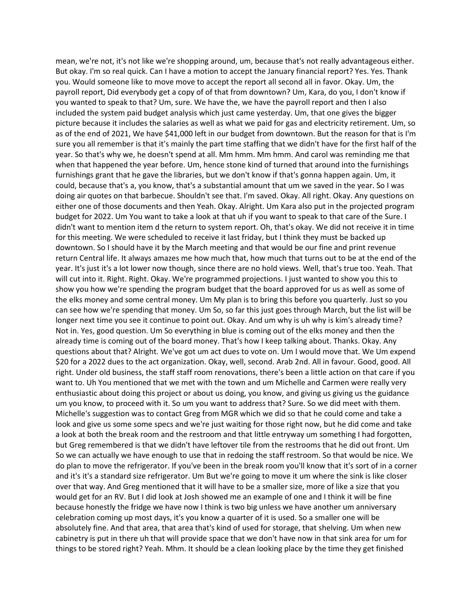mean, we're not, it's not like we're shopping around, um, because that's not really advantageous either. But okay. I'm so real quick. Can I have a motion to accept the January financial report? Yes. Yes. Thank you. Would someone like to move move to accept the report all second all in favor. Okay. Um, the payroll report, Did everybody get a copy of of that from downtown? Um, Kara, do you, I don't know if you wanted to speak to that? Um, sure. We have the, we have the payroll report and then I also included the system paid budget analysis which just came yesterday. Um, that one gives the bigger picture because it includes the salaries as well as what we paid for gas and electricity retirement. Um, so as of the end of 2021, We have \$41,000 left in our budget from downtown. But the reason for that is I'm sure you all remember is that it's mainly the part time staffing that we didn't have for the first half of the year. So that's why we, he doesn't spend at all. Mm hmm. Mm hmm. And carol was reminding me that when that happened the year before. Um, hence stone kind of turned that around into the furnishings furnishings grant that he gave the libraries, but we don't know if that's gonna happen again. Um, it could, because that's a, you know, that's a substantial amount that um we saved in the year. So I was doing air quotes on that barbecue. Shouldn't see that. I'm saved. Okay. All right. Okay. Any questions on either one of those documents and then Yeah. Okay. Alright. Um Kara also put in the projected program budget for 2022. Um You want to take a look at that uh if you want to speak to that care of the Sure. I didn't want to mention item d the return to system report. Oh, that's okay. We did not receive it in time for this meeting. We were scheduled to receive it last friday, but I think they must be backed up downtown. So I should have it by the March meeting and that would be our fine and print revenue return Central life. It always amazes me how much that, how much that turns out to be at the end of the year. It's just it's a lot lower now though, since there are no hold views. Well, that's true too. Yeah. That will cut into it. Right. Right. Okay. We're programmed projections. I just wanted to show you this to show you how we're spending the program budget that the board approved for us as well as some of the elks money and some central money. Um My plan is to bring this before you quarterly. Just so you can see how we're spending that money. Um So, so far this just goes through March, but the list will be longer next time you see it continue to point out. Okay. And um why is uh why is kim's already time? Not in. Yes, good question. Um So everything in blue is coming out of the elks money and then the already time is coming out of the board money. That's how I keep talking about. Thanks. Okay. Any questions about that? Alright. We've got um act dues to vote on. Um I would move that. We Um expend \$20 for a 2022 dues to the act organization. Okay, well, second. Arab 2nd. All in favour. Good, good. All right. Under old business, the staff staff room renovations, there's been a little action on that care if you want to. Uh You mentioned that we met with the town and um Michelle and Carmen were really very enthusiastic about doing this project or about us doing, you know, and giving us giving us the guidance um you know, to proceed with it. So um you want to address that? Sure. So we did meet with them. Michelle's suggestion was to contact Greg from MGR which we did so that he could come and take a look and give us some some specs and we're just waiting for those right now, but he did come and take a look at both the break room and the restroom and that little entryway um something I had forgotten, but Greg remembered is that we didn't have leftover tile from the restrooms that he did out front. Um So we can actually we have enough to use that in redoing the staff restroom. So that would be nice. We do plan to move the refrigerator. If you've been in the break room you'll know that it's sort of in a corner and it's it's a standard size refrigerator. Um But we're going to move it um where the sink is like closer over that way. And Greg mentioned that it will have to be a smaller size, more of like a size that you would get for an RV. But I did look at Josh showed me an example of one and I think it will be fine because honestly the fridge we have now I think is two big unless we have another um anniversary celebration coming up most days, it's you know a quarter of it is used. So a smaller one will be absolutely fine. And that area, that area that's kind of used for storage, that shelving. Um when new cabinetry is put in there uh that will provide space that we don't have now in that sink area for um for things to be stored right? Yeah. Mhm. It should be a clean looking place by the time they get finished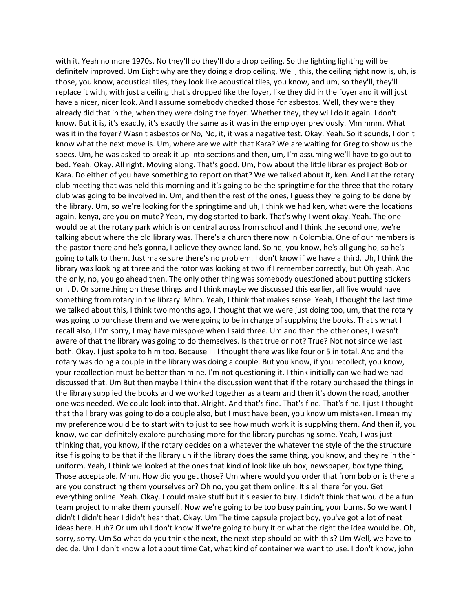with it. Yeah no more 1970s. No they'll do they'll do a drop ceiling. So the lighting lighting will be definitely improved. Um Eight why are they doing a drop ceiling. Well, this, the ceiling right now is, uh, is those, you know, acoustical tiles, they look like acoustical tiles, you know, and um, so they'll, they'll replace it with, with just a ceiling that's dropped like the foyer, like they did in the foyer and it will just have a nicer, nicer look. And I assume somebody checked those for asbestos. Well, they were they already did that in the, when they were doing the foyer. Whether they, they will do it again. I don't know. But it is, it's exactly, it's exactly the same as it was in the employer previously. Mm hmm. What was it in the foyer? Wasn't asbestos or No, No, it, it was a negative test. Okay. Yeah. So it sounds, I don't know what the next move is. Um, where are we with that Kara? We are waiting for Greg to show us the specs. Um, he was asked to break it up into sections and then, um, I'm assuming we'll have to go out to bed. Yeah. Okay. All right. Moving along. That's good. Um, how about the little libraries project Bob or Kara. Do either of you have something to report on that? We we talked about it, ken. And I at the rotary club meeting that was held this morning and it's going to be the springtime for the three that the rotary club was going to be involved in. Um, and then the rest of the ones, I guess they're going to be done by the library. Um, so we're looking for the springtime and uh, I think we had ken, what were the locations again, kenya, are you on mute? Yeah, my dog started to bark. That's why I went okay. Yeah. The one would be at the rotary park which is on central across from school and I think the second one, we're talking about where the old library was. There's a church there now in Colombia. One of our members is the pastor there and he's gonna, I believe they owned land. So he, you know, he's all gung ho, so he's going to talk to them. Just make sure there's no problem. I don't know if we have a third. Uh, I think the library was looking at three and the rotor was looking at two if I remember correctly, but Oh yeah. And the only, no, you go ahead then. The only other thing was somebody questioned about putting stickers or I. D. Or something on these things and I think maybe we discussed this earlier, all five would have something from rotary in the library. Mhm. Yeah, I think that makes sense. Yeah, I thought the last time we talked about this, I think two months ago, I thought that we were just doing too, um, that the rotary was going to purchase them and we were going to be in charge of supplying the books. That's what I recall also, I I'm sorry, I may have misspoke when I said three. Um and then the other ones, I wasn't aware of that the library was going to do themselves. Is that true or not? True? Not not since we last both. Okay. I just spoke to him too. Because I I I thought there was like four or 5 in total. And and the rotary was doing a couple in the library was doing a couple. But you know, if you recollect, you know, your recollection must be better than mine. I'm not questioning it. I think initially can we had we had discussed that. Um But then maybe I think the discussion went that if the rotary purchased the things in the library supplied the books and we worked together as a team and then it's down the road, another one was needed. We could look into that. Alright. And that's fine. That's fine. That's fine. I just I thought that the library was going to do a couple also, but I must have been, you know um mistaken. I mean my my preference would be to start with to just to see how much work it is supplying them. And then if, you know, we can definitely explore purchasing more for the library purchasing some. Yeah, I was just thinking that, you know, if the rotary decides on a whatever the whatever the style of the the structure itself is going to be that if the library uh if the library does the same thing, you know, and they're in their uniform. Yeah, I think we looked at the ones that kind of look like uh box, newspaper, box type thing, Those acceptable. Mhm. How did you get those? Um where would you order that from bob or is there a are you constructing them yourselves or? Oh no, you get them online. It's all there for you. Get everything online. Yeah. Okay. I could make stuff but it's easier to buy. I didn't think that would be a fun team project to make them yourself. Now we're going to be too busy painting your burns. So we want I didn't I didn't hear I didn't hear that. Okay. Um The time capsule project boy, you've got a lot of neat ideas here. Huh? Or um uh I don't know if we're going to bury it or what the right the idea would be. Oh, sorry, sorry. Um So what do you think the next, the next step should be with this? Um Well, we have to decide. Um I don't know a lot about time Cat, what kind of container we want to use. I don't know, john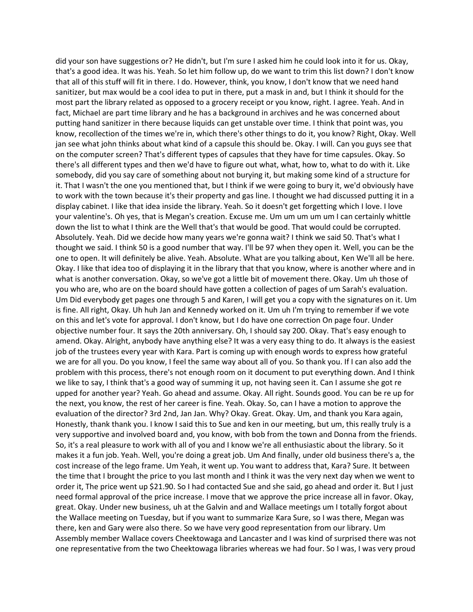did your son have suggestions or? He didn't, but I'm sure I asked him he could look into it for us. Okay, that's a good idea. It was his. Yeah. So let him follow up, do we want to trim this list down? I don't know that all of this stuff will fit in there. I do. However, think, you know, I don't know that we need hand sanitizer, but max would be a cool idea to put in there, put a mask in and, but I think it should for the most part the library related as opposed to a grocery receipt or you know, right. I agree. Yeah. And in fact, Michael are part time library and he has a background in archives and he was concerned about putting hand sanitizer in there because liquids can get unstable over time. I think that point was, you know, recollection of the times we're in, which there's other things to do it, you know? Right, Okay. Well jan see what john thinks about what kind of a capsule this should be. Okay. I will. Can you guys see that on the computer screen? That's different types of capsules that they have for time capsules. Okay. So there's all different types and then we'd have to figure out what, what, how to, what to do with it. Like somebody, did you say care of something about not burying it, but making some kind of a structure for it. That I wasn't the one you mentioned that, but I think if we were going to bury it, we'd obviously have to work with the town because it's their property and gas line. I thought we had discussed putting it in a display cabinet. I like that idea inside the library. Yeah. So it doesn't get forgetting which I love. I love your valentine's. Oh yes, that is Megan's creation. Excuse me. Um um um um um I can certainly whittle down the list to what I think are the Well that's that would be good. That would could be corrupted. Absolutely. Yeah. Did we decide how many years we're gonna wait? I think we said 50. That's what I thought we said. I think 50 is a good number that way. I'll be 97 when they open it. Well, you can be the one to open. It will definitely be alive. Yeah. Absolute. What are you talking about, Ken We'll all be here. Okay. I like that idea too of displaying it in the library that that you know, where is another where and in what is another conversation. Okay, so we've got a little bit of movement there. Okay. Um uh those of you who are, who are on the board should have gotten a collection of pages of um Sarah's evaluation. Um Did everybody get pages one through 5 and Karen, I will get you a copy with the signatures on it. Um is fine. All right, Okay. Uh huh Jan and Kennedy worked on it. Um uh I'm trying to remember if we vote on this and let's vote for approval. I don't know, but I do have one correction On page four. Under objective number four. It says the 20th anniversary. Oh, I should say 200. Okay. That's easy enough to amend. Okay. Alright, anybody have anything else? It was a very easy thing to do. It always is the easiest job of the trustees every year with Kara. Part is coming up with enough words to express how grateful we are for all you. Do you know, I feel the same way about all of you. So thank you. If I can also add the problem with this process, there's not enough room on it document to put everything down. And I think we like to say, I think that's a good way of summing it up, not having seen it. Can I assume she got re upped for another year? Yeah. Go ahead and assume. Okay. All right. Sounds good. You can be re up for the next, you know, the rest of her career is fine. Yeah. Okay. So, can I have a motion to approve the evaluation of the director? 3rd 2nd, Jan Jan. Why? Okay. Great. Okay. Um, and thank you Kara again, Honestly, thank thank you. I know I said this to Sue and ken in our meeting, but um, this really truly is a very supportive and involved board and, you know, with bob from the town and Donna from the friends. So, it's a real pleasure to work with all of you and I know we're all enthusiastic about the library. So it makes it a fun job. Yeah. Well, you're doing a great job. Um And finally, under old business there's a, the cost increase of the lego frame. Um Yeah, it went up. You want to address that, Kara? Sure. It between the time that I brought the price to you last month and I think it was the very next day when we went to order it, The price went up \$21.90. So I had contacted Sue and she said, go ahead and order it. But I just need formal approval of the price increase. I move that we approve the price increase all in favor. Okay, great. Okay. Under new business, uh at the Galvin and and Wallace meetings um I totally forgot about the Wallace meeting on Tuesday, but if you want to summarize Kara Sure, so I was there, Megan was there, ken and Gary were also there. So we have very good representation from our library. Um Assembly member Wallace covers Cheektowaga and Lancaster and I was kind of surprised there was not one representative from the two Cheektowaga libraries whereas we had four. So I was, I was very proud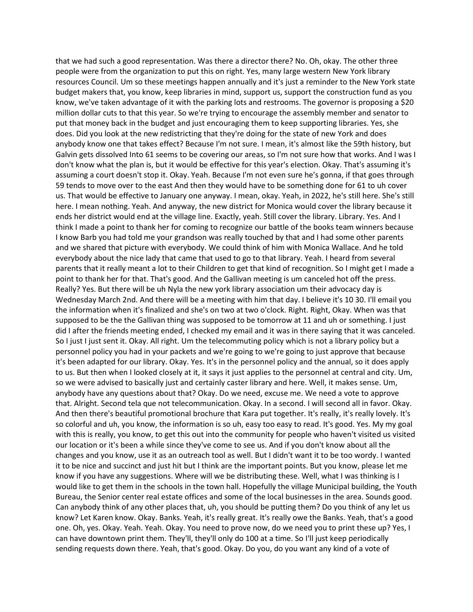that we had such a good representation. Was there a director there? No. Oh, okay. The other three people were from the organization to put this on right. Yes, many large western New York library resources Council. Um so these meetings happen annually and it's just a reminder to the New York state budget makers that, you know, keep libraries in mind, support us, support the construction fund as you know, we've taken advantage of it with the parking lots and restrooms. The governor is proposing a \$20 million dollar cuts to that this year. So we're trying to encourage the assembly member and senator to put that money back in the budget and just encouraging them to keep supporting libraries. Yes, she does. Did you look at the new redistricting that they're doing for the state of new York and does anybody know one that takes effect? Because I'm not sure. I mean, it's almost like the 59th history, but Galvin gets dissolved Into 61 seems to be covering our areas, so I'm not sure how that works. And I was I don't know what the plan is, but it would be effective for this year's election. Okay. That's assuming it's assuming a court doesn't stop it. Okay. Yeah. Because I'm not even sure he's gonna, if that goes through 59 tends to move over to the east And then they would have to be something done for 61 to uh cover us. That would be effective to January one anyway. I mean, okay. Yeah, in 2022, he's still here. She's still here. I mean nothing. Yeah. And anyway, the new district for Monica would cover the library because it ends her district would end at the village line. Exactly, yeah. Still cover the library. Library. Yes. And I think I made a point to thank her for coming to recognize our battle of the books team winners because I know Barb you had told me your grandson was really touched by that and I had some other parents and we shared that picture with everybody. We could think of him with Monica Wallace. And he told everybody about the nice lady that came that used to go to that library. Yeah. I heard from several parents that it really meant a lot to their Children to get that kind of recognition. So I might get I made a point to thank her for that. That's good. And the Gallivan meeting is um canceled hot off the press. Really? Yes. But there will be uh Nyla the new york library association um their advocacy day is Wednesday March 2nd. And there will be a meeting with him that day. I believe it's 10 30. I'll email you the information when it's finalized and she's on two at two o'clock. Right. Right, Okay. When was that supposed to be the the Gallivan thing was supposed to be tomorrow at 11 and uh or something. I just did I after the friends meeting ended, I checked my email and it was in there saying that it was canceled. So I just I just sent it. Okay. All right. Um the telecommuting policy which is not a library policy but a personnel policy you had in your packets and we're going to we're going to just approve that because it's been adapted for our library. Okay. Yes. It's in the personnel policy and the annual, so it does apply to us. But then when I looked closely at it, it says it just applies to the personnel at central and city. Um, so we were advised to basically just and certainly caster library and here. Well, it makes sense. Um, anybody have any questions about that? Okay. Do we need, excuse me. We need a vote to approve that. Alright. Second tela que not telecommunication. Okay. In a second. I will second all in favor. Okay. And then there's beautiful promotional brochure that Kara put together. It's really, it's really lovely. It's so colorful and uh, you know, the information is so uh, easy too easy to read. It's good. Yes. My my goal with this is really, you know, to get this out into the community for people who haven't visited us visited our location or it's been a while since they've come to see us. And if you don't know about all the changes and you know, use it as an outreach tool as well. But I didn't want it to be too wordy. I wanted it to be nice and succinct and just hit but I think are the important points. But you know, please let me know if you have any suggestions. Where will we be distributing these. Well, what I was thinking is I would like to get them in the schools in the town hall. Hopefully the village Municipal building, the Youth Bureau, the Senior center real estate offices and some of the local businesses in the area. Sounds good. Can anybody think of any other places that, uh, you should be putting them? Do you think of any let us know? Let Karen know. Okay. Banks. Yeah, it's really great. It's really owe the Banks. Yeah, that's a good one. Oh, yes. Okay. Yeah. Yeah. Okay. You need to prove now, do we need you to print these up? Yes, I can have downtown print them. They'll, they'll only do 100 at a time. So I'll just keep periodically sending requests down there. Yeah, that's good. Okay. Do you, do you want any kind of a vote of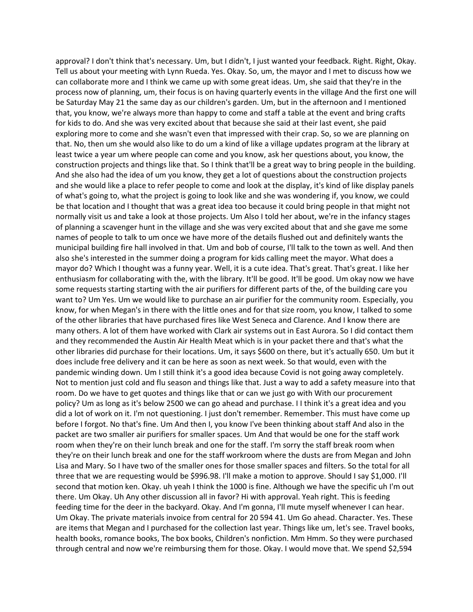approval? I don't think that's necessary. Um, but I didn't, I just wanted your feedback. Right. Right, Okay. Tell us about your meeting with Lynn Rueda. Yes. Okay. So, um, the mayor and I met to discuss how we can collaborate more and I think we came up with some great ideas. Um, she said that they're in the process now of planning, um, their focus is on having quarterly events in the village And the first one will be Saturday May 21 the same day as our children's garden. Um, but in the afternoon and I mentioned that, you know, we're always more than happy to come and staff a table at the event and bring crafts for kids to do. And she was very excited about that because she said at their last event, she paid exploring more to come and she wasn't even that impressed with their crap. So, so we are planning on that. No, then um she would also like to do um a kind of like a village updates program at the library at least twice a year um where people can come and you know, ask her questions about, you know, the construction projects and things like that. So I think that'll be a great way to bring people in the building. And she also had the idea of um you know, they get a lot of questions about the construction projects and she would like a place to refer people to come and look at the display, it's kind of like display panels of what's going to, what the project is going to look like and she was wondering if, you know, we could be that location and I thought that was a great idea too because it could bring people in that might not normally visit us and take a look at those projects. Um Also I told her about, we're in the infancy stages of planning a scavenger hunt in the village and she was very excited about that and she gave me some names of people to talk to um once we have more of the details flushed out and definitely wants the municipal building fire hall involved in that. Um and bob of course, I'll talk to the town as well. And then also she's interested in the summer doing a program for kids calling meet the mayor. What does a mayor do? Which I thought was a funny year. Well, it is a cute idea. That's great. That's great. I like her enthusiasm for collaborating with the, with the library. It'll be good. It'll be good. Um okay now we have some requests starting starting with the air purifiers for different parts of the, of the building care you want to? Um Yes. Um we would like to purchase an air purifier for the community room. Especially, you know, for when Megan's in there with the little ones and for that size room, you know, I talked to some of the other libraries that have purchased fires like West Seneca and Clarence. And I know there are many others. A lot of them have worked with Clark air systems out in East Aurora. So I did contact them and they recommended the Austin Air Health Meat which is in your packet there and that's what the other libraries did purchase for their locations. Um, it says \$600 on there, but it's actually 650. Um but it does include free delivery and it can be here as soon as next week. So that would, even with the pandemic winding down. Um I still think it's a good idea because Covid is not going away completely. Not to mention just cold and flu season and things like that. Just a way to add a safety measure into that room. Do we have to get quotes and things like that or can we just go with With our procurement policy? Um as long as it's below 2500 we can go ahead and purchase. I I think it's a great idea and you did a lot of work on it. I'm not questioning. I just don't remember. Remember. This must have come up before I forgot. No that's fine. Um And then I, you know I've been thinking about staff And also in the packet are two smaller air purifiers for smaller spaces. Um And that would be one for the staff work room when they're on their lunch break and one for the staff. I'm sorry the staff break room when they're on their lunch break and one for the staff workroom where the dusts are from Megan and John Lisa and Mary. So I have two of the smaller ones for those smaller spaces and filters. So the total for all three that we are requesting would be \$996.98. I'll make a motion to approve. Should I say \$1,000. I'll second that motion ken. Okay. uh yeah I think the 1000 is fine. Although we have the specific uh I'm out there. Um Okay. Uh Any other discussion all in favor? Hi with approval. Yeah right. This is feeding feeding time for the deer in the backyard. Okay. And I'm gonna, I'll mute myself whenever I can hear. Um Okay. The private materials invoice from central for 20 594 41. Um Go ahead. Character. Yes. These are items that Megan and I purchased for the collection last year. Things like um, let's see. Travel books, health books, romance books, The box books, Children's nonfiction. Mm Hmm. So they were purchased through central and now we're reimbursing them for those. Okay. I would move that. We spend \$2,594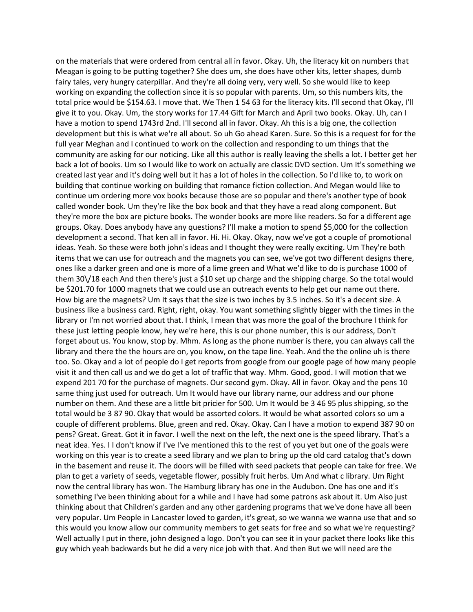on the materials that were ordered from central all in favor. Okay. Uh, the literacy kit on numbers that Meagan is going to be putting together? She does um, she does have other kits, letter shapes, dumb fairy tales, very hungry caterpillar. And they're all doing very, very well. So she would like to keep working on expanding the collection since it is so popular with parents. Um, so this numbers kits, the total price would be \$154.63. I move that. We Then 1 54 63 for the literacy kits. I'll second that Okay, I'll give it to you. Okay. Um, the story works for 17.44 Gift for March and April two books. Okay. Uh, can I have a motion to spend 1743rd 2nd. I'll second all in favor. Okay. Ah this is a big one, the collection development but this is what we're all about. So uh Go ahead Karen. Sure. So this is a request for for the full year Meghan and I continued to work on the collection and responding to um things that the community are asking for our noticing. Like all this author is really leaving the shells a lot. I better get her back a lot of books. Um so I would like to work on actually are classic DVD section. Um It's something we created last year and it's doing well but it has a lot of holes in the collection. So I'd like to, to work on building that continue working on building that romance fiction collection. And Megan would like to continue um ordering more vox books because those are so popular and there's another type of book called wonder book. Um they're like the box book and that they have a read along component. But they're more the box are picture books. The wonder books are more like readers. So for a different age groups. Okay. Does anybody have any questions? I'll make a motion to spend \$5,000 for the collection development a second. That ken all in favor. Hi. Hi. Okay. Okay, now we've got a couple of promotional ideas. Yeah. So these were both john's ideas and I thought they were really exciting. Um They're both items that we can use for outreach and the magnets you can see, we've got two different designs there, ones like a darker green and one is more of a lime green and What we'd like to do is purchase 1000 of them 30\/18 each And then there's just a \$10 set up charge and the shipping charge. So the total would be \$201.70 for 1000 magnets that we could use an outreach events to help get our name out there. How big are the magnets? Um It says that the size is two inches by 3.5 inches. So it's a decent size. A business like a business card. Right, right, okay. You want something slightly bigger with the times in the library or I'm not worried about that. I think, I mean that was more the goal of the brochure I think for these just letting people know, hey we're here, this is our phone number, this is our address, Don't forget about us. You know, stop by. Mhm. As long as the phone number is there, you can always call the library and there the the hours are on, you know, on the tape line. Yeah. And the the online uh is there too. So. Okay and a lot of people do I get reports from google from our google page of how many people visit it and then call us and we do get a lot of traffic that way. Mhm. Good, good. I will motion that we expend 201 70 for the purchase of magnets. Our second gym. Okay. All in favor. Okay and the pens 10 same thing just used for outreach. Um It would have our library name, our address and our phone number on them. And these are a little bit pricier for 500. Um It would be 3 46 95 plus shipping, so the total would be 3 87 90. Okay that would be assorted colors. It would be what assorted colors so um a couple of different problems. Blue, green and red. Okay. Okay. Can I have a motion to expend 387 90 on pens? Great. Great. Got it in favor. I well the next on the left, the next one is the speed library. That's a neat idea. Yes. I I don't know if I've I've mentioned this to the rest of you yet but one of the goals were working on this year is to create a seed library and we plan to bring up the old card catalog that's down in the basement and reuse it. The doors will be filled with seed packets that people can take for free. We plan to get a variety of seeds, vegetable flower, possibly fruit herbs. Um And what c library. Um Right now the central library has won. The Hamburg library has one in the Audubon. One has one and it's something I've been thinking about for a while and I have had some patrons ask about it. Um Also just thinking about that Children's garden and any other gardening programs that we've done have all been very popular. Um People in Lancaster loved to garden, it's great, so we wanna we wanna use that and so this would you know allow our community members to get seats for free and so what we're requesting? Well actually I put in there, john designed a logo. Don't you can see it in your packet there looks like this guy which yeah backwards but he did a very nice job with that. And then But we will need are the